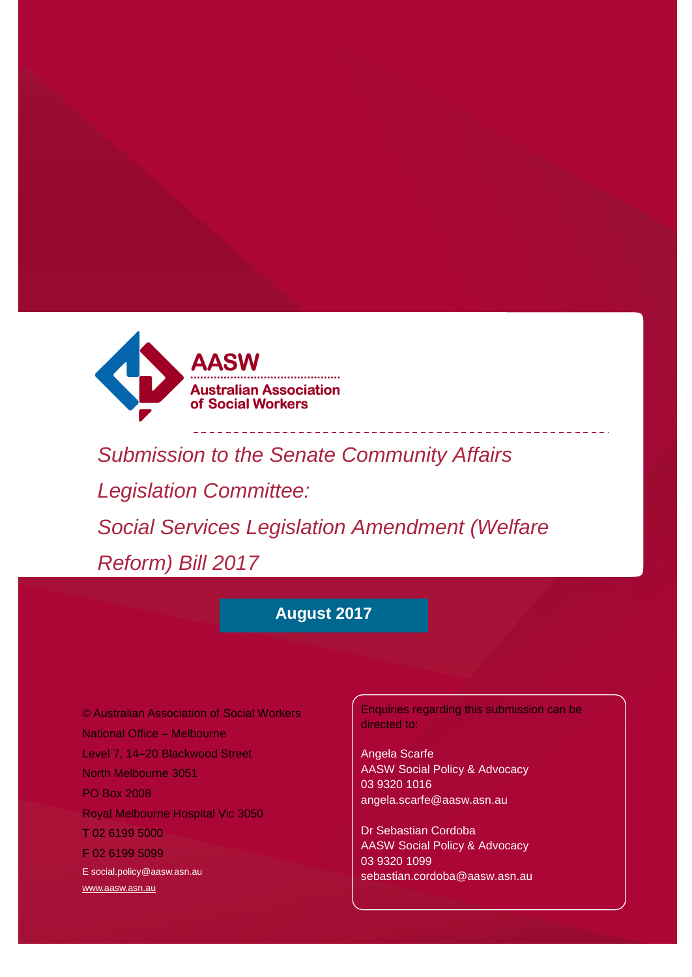

*Submission to the Senate Community Affairs Legislation Committee: Social Services Legislation Amendment (Welfare Reform) Bill 2017*

# **August 2017**

© Australian Association of Social Workers National Office – Melbourne Level 7, 14–20 Blackwood Street North Melbourne 3051 PO Box 2008 Royal Melbourne Hospital Vic 3050 T 02 6199 5000 F 02 6199 5099 [E social.policy@aasw.asn.au](mailto:advocacy@aasw.asn.au) [www.aasw.asn.au](http://www.aasw.asn.au/)

Enquiries regarding this submission can be directed to:

Angela Scarfe AASW Social Policy & Advocacy 03 9320 1016 angela.scarfe@aasw.asn.au

Dr Sebastian Cordoba AASW Social Policy & Advocacy 03 9320 1099 sebastian.cordoba@aasw.asn.au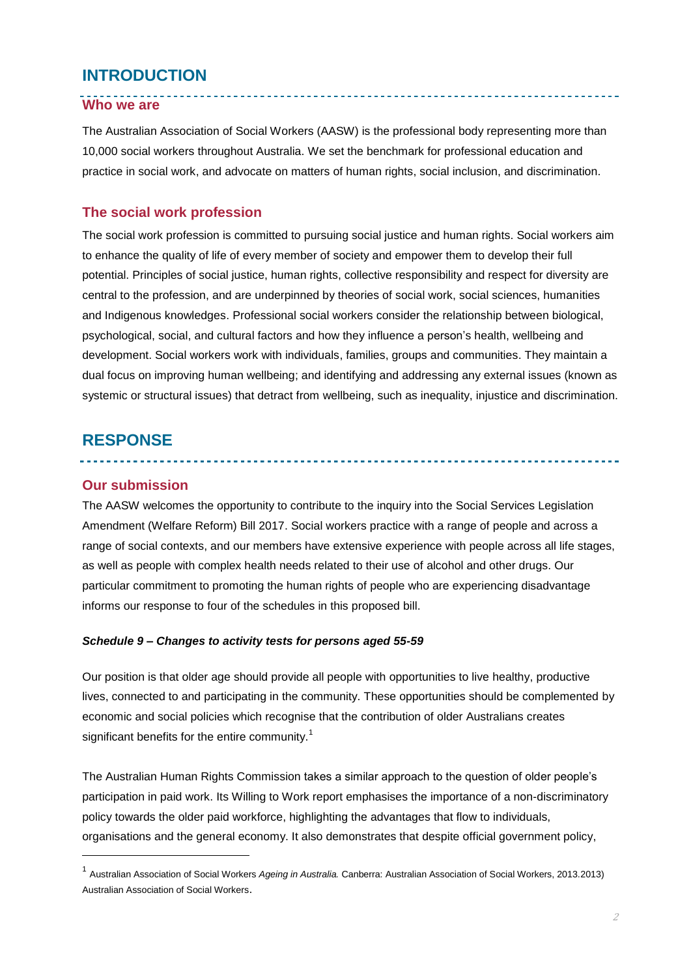## **INTRODUCTION**

### **Who we are**

The Australian Association of Social Workers (AASW) is the professional body representing more than 10,000 social workers throughout Australia. We set the benchmark for professional education and practice in social work, and advocate on matters of human rights, social inclusion, and discrimination.

<u>. . . . . . . . . . . . . . . . .</u>

### **The social work profession**

The social work profession is committed to pursuing social justice and human rights. Social workers aim to enhance the quality of life of every member of society and empower them to develop their full potential. Principles of social justice, human rights, collective responsibility and respect for diversity are central to the profession, and are underpinned by theories of social work, social sciences, humanities and Indigenous knowledges. Professional social workers consider the relationship between biological, psychological, social, and cultural factors and how they influence a person's health, wellbeing and development. Social workers work with individuals, families, groups and communities. They maintain a dual focus on improving human wellbeing; and identifying and addressing any external issues (known as systemic or structural issues) that detract from wellbeing, such as inequality, injustice and discrimination.

## **RESPONSE**

#### **Our submission**

l

The AASW welcomes the opportunity to contribute to the inquiry into the Social Services Legislation Amendment (Welfare Reform) Bill 2017. Social workers practice with a range of people and across a range of social contexts, and our members have extensive experience with people across all life stages, as well as people with complex health needs related to their use of alcohol and other drugs. Our particular commitment to promoting the human rights of people who are experiencing disadvantage informs our response to four of the schedules in this proposed bill.

#### *Schedule 9 – Changes to activity tests for persons aged 55-59*

Our position is that older age should provide all people with opportunities to live healthy, productive lives, connected to and participating in the community. These opportunities should be complemented by economic and social policies which recognise that the contribution of older Australians creates significant benefits for the entire community.<sup>1</sup>

The Australian Human Rights Commission takes a similar approach to the question of older people's participation in paid work. Its Willing to Work report emphasises the importance of a non-discriminatory policy towards the older paid workforce, highlighting the advantages that flow to individuals, organisations and the general economy. It also demonstrates that despite official government policy,

<sup>1</sup> Australian Association of Social Workers *Ageing in Australia.* Canberra: Australian Association of Social Workers, 2013.2013) Australian Association of Social Workers.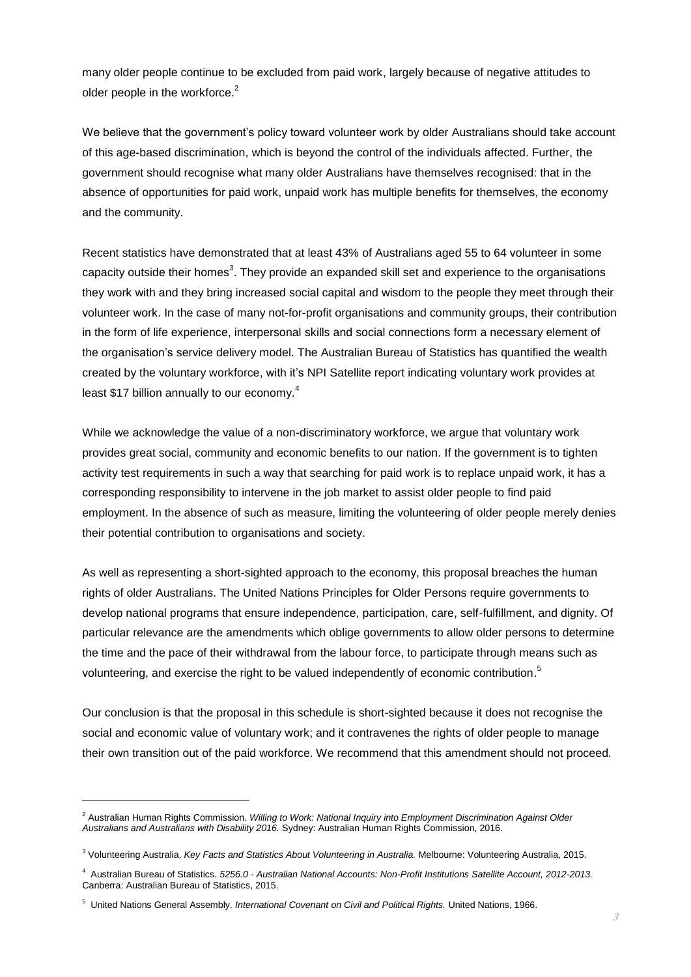many older people continue to be excluded from paid work, largely because of negative attitudes to older people in the workforce.<sup>2</sup>

We believe that the government's policy toward volunteer work by older Australians should take account of this age-based discrimination, which is beyond the control of the individuals affected. Further, the government should recognise what many older Australians have themselves recognised: that in the absence of opportunities for paid work, unpaid work has multiple benefits for themselves, the economy and the community.

Recent statistics have demonstrated that at least 43% of Australians aged 55 to 64 volunteer in some capacity outside their homes<sup>3</sup>. They provide an expanded skill set and experience to the organisations they work with and they bring increased social capital and wisdom to the people they meet through their volunteer work. In the case of many not-for-profit organisations and community groups, their contribution in the form of life experience, interpersonal skills and social connections form a necessary element of the organisation's service delivery model. The Australian Bureau of Statistics has quantified the wealth created by the voluntary workforce, with it's NPI Satellite report indicating voluntary work provides at least \$17 billion annually to our economy.<sup>4</sup>

While we acknowledge the value of a non-discriminatory workforce, we argue that voluntary work provides great social, community and economic benefits to our nation. If the government is to tighten activity test requirements in such a way that searching for paid work is to replace unpaid work, it has a corresponding responsibility to intervene in the job market to assist older people to find paid employment. In the absence of such as measure, limiting the volunteering of older people merely denies their potential contribution to organisations and society.

As well as representing a short-sighted approach to the economy, this proposal breaches the human rights of older Australians. The United Nations Principles for Older Persons require governments to develop national programs that ensure independence, participation, care, self-fulfillment, and dignity. Of particular relevance are the amendments which oblige governments to allow older persons to determine the time and the pace of their withdrawal from the labour force, to participate through means such as volunteering, and exercise the right to be valued independently of economic contribution.<sup>5</sup>

Our conclusion is that the proposal in this schedule is short-sighted because it does not recognise the social and economic value of voluntary work; and it contravenes the rights of older people to manage their own transition out of the paid workforce. We recommend that this amendment should not proceed*.*

l

<sup>2</sup> Australian Human Rights Commission. *Willing to Work: National Inquiry into Employment Discrimination Against Older Australians and Australians with Disability 2016.* Sydney: Australian Human Rights Commission, 2016.

<sup>3</sup> Volunteering Australia. *Key Facts and Statistics About Volunteering in Australia.* Melbourne: Volunteering Australia, 2015.

<sup>4</sup> Australian Bureau of Statistics. *5256.0 - Australian National Accounts: Non-Profit Institutions Satellite Account, 2012-2013.* Canberra: Australian Bureau of Statistics, 2015.

<sup>5</sup> United Nations General Assembly. *International Covenant on Civil and Political Rights.* United Nations, 1966.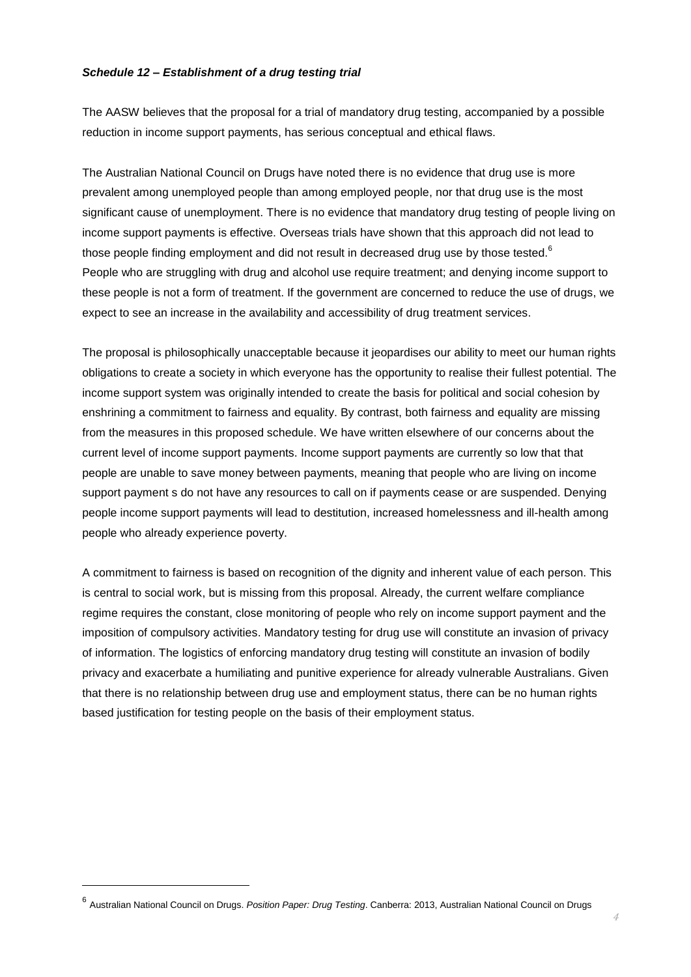#### *Schedule 12 – Establishment of a drug testing trial*

The AASW believes that the proposal for a trial of mandatory drug testing, accompanied by a possible reduction in income support payments, has serious conceptual and ethical flaws.

The Australian National Council on Drugs have noted there is no evidence that drug use is more prevalent among unemployed people than among employed people, nor that drug use is the most significant cause of unemployment. There is no evidence that mandatory drug testing of people living on income support payments is effective. Overseas trials have shown that this approach did not lead to those people finding employment and did not result in decreased drug use by those tested. $^{\rm 6}$ People who are struggling with drug and alcohol use require treatment; and denying income support to these people is not a form of treatment. If the government are concerned to reduce the use of drugs, we expect to see an increase in the availability and accessibility of drug treatment services.

The proposal is philosophically unacceptable because it jeopardises our ability to meet our human rights obligations to create a society in which everyone has the opportunity to realise their fullest potential. The income support system was originally intended to create the basis for political and social cohesion by enshrining a commitment to fairness and equality. By contrast, both fairness and equality are missing from the measures in this proposed schedule. We have written elsewhere of our concerns about the current level of income support payments. Income support payments are currently so low that that people are unable to save money between payments, meaning that people who are living on income support payment s do not have any resources to call on if payments cease or are suspended. Denying people income support payments will lead to destitution, increased homelessness and ill-health among people who already experience poverty.

A commitment to fairness is based on recognition of the dignity and inherent value of each person. This is central to social work, but is missing from this proposal. Already, the current welfare compliance regime requires the constant, close monitoring of people who rely on income support payment and the imposition of compulsory activities. Mandatory testing for drug use will constitute an invasion of privacy of information. The logistics of enforcing mandatory drug testing will constitute an invasion of bodily privacy and exacerbate a humiliating and punitive experience for already vulnerable Australians. Given that there is no relationship between drug use and employment status, there can be no human rights based justification for testing people on the basis of their employment status.

l

<sup>6</sup> Australian National Council on Drugs. *Position Paper: Drug Testing*. Canberra: 2013, Australian National Council on Drugs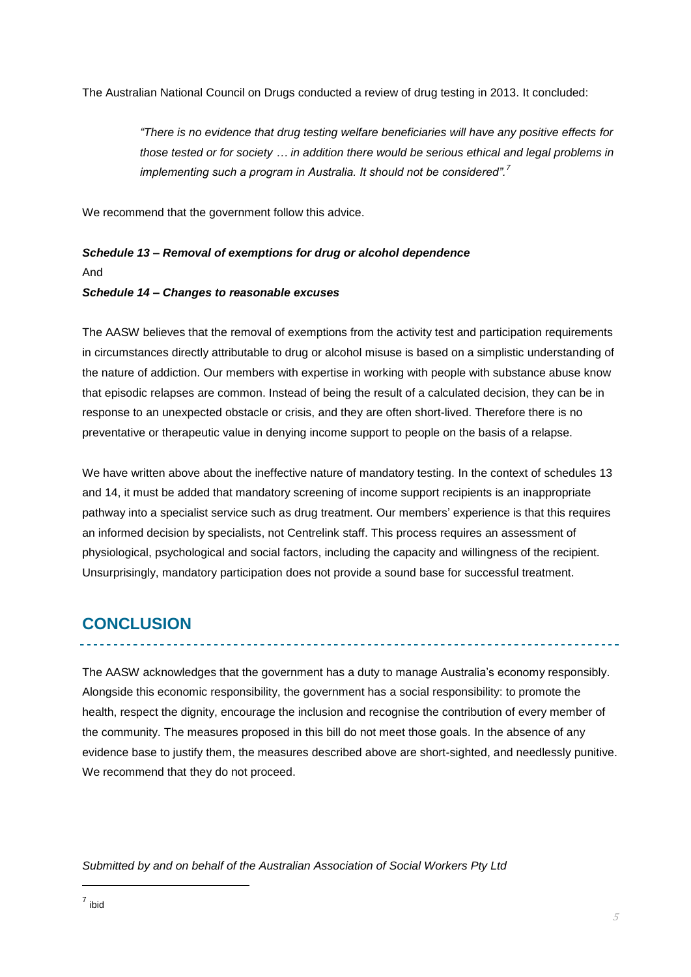The Australian National Council on Drugs conducted a review of drug testing in 2013. It concluded:

*"There is no evidence that drug testing welfare beneficiaries will have any positive effects for those tested or for society … in addition there would be serious ethical and legal problems in implementing such a program in Australia. It should not be considered".<sup>7</sup>*

We recommend that the government follow this advice.

### *Schedule 13 – Removal of exemptions for drug or alcohol dependence*

And

#### *Schedule 14 – Changes to reasonable excuses*

The AASW believes that the removal of exemptions from the activity test and participation requirements in circumstances directly attributable to drug or alcohol misuse is based on a simplistic understanding of the nature of addiction. Our members with expertise in working with people with substance abuse know that episodic relapses are common. Instead of being the result of a calculated decision, they can be in response to an unexpected obstacle or crisis, and they are often short-lived. Therefore there is no preventative or therapeutic value in denying income support to people on the basis of a relapse.

We have written above about the ineffective nature of mandatory testing. In the context of schedules 13 and 14, it must be added that mandatory screening of income support recipients is an inappropriate pathway into a specialist service such as drug treatment. Our members' experience is that this requires an informed decision by specialists, not Centrelink staff. This process requires an assessment of physiological, psychological and social factors, including the capacity and willingness of the recipient. Unsurprisingly, mandatory participation does not provide a sound base for successful treatment.

## **CONCLUSION**

The AASW acknowledges that the government has a duty to manage Australia's economy responsibly. Alongside this economic responsibility, the government has a social responsibility: to promote the health, respect the dignity, encourage the inclusion and recognise the contribution of every member of the community. The measures proposed in this bill do not meet those goals. In the absence of any evidence base to justify them, the measures described above are short-sighted, and needlessly punitive. We recommend that they do not proceed.

*Submitted by and on behalf of the Australian Association of Social Workers Pty Ltd*

l